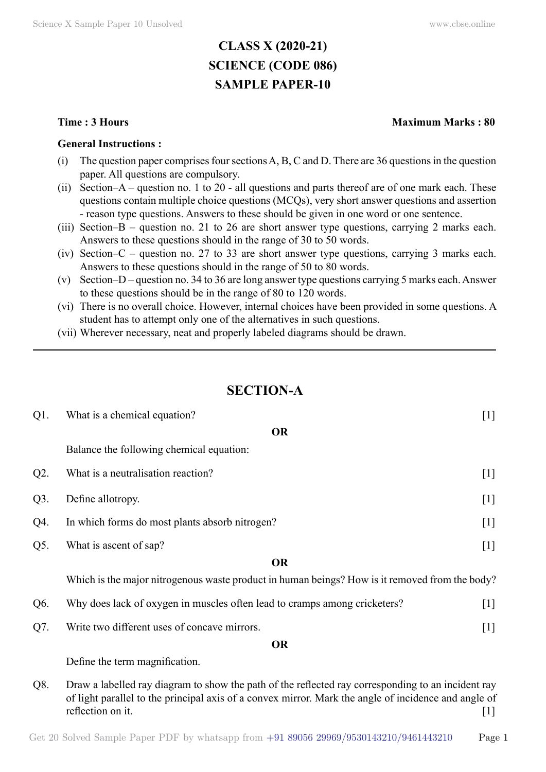# **CLASS X (2020-21) SCIENCE (CODE 086) SAMPLE PAPER-10**

#### **General Instructions :**

- (i) The question paper comprises four sections A, B, C and D. There are 36 questions in the question paper. All questions are compulsory.
- (ii) Section–A question no. 1 to 20 all questions and parts thereof are of one mark each. These questions contain multiple choice questions (MCQs), very short answer questions and assertion - reason type questions. Answers to these should be given in one word or one sentence.
- (iii) Section–B question no. 21 to 26 are short answer type questions, carrying 2 marks each. Answers to these questions should in the range of 30 to 50 words.
- (iv) Section–C question no. 27 to 33 are short answer type questions, carrying 3 marks each. Answers to these questions should in the range of 50 to 80 words.
- (v) Section–D question no. 34 to 36 are long answer type questions carrying 5 marks each. Answer to these questions should be in the range of 80 to 120 words.
- (vi) There is no overall choice. However, internal choices have been provided in some questions. A student has to attempt only one of the alternatives in such questions.
- (vii) Wherever necessary, neat and properly labeled diagrams should be drawn.

## **Section-A**

| $Q1$ . | What is a chemical equation?                                                                                                                                                                                                         | $[1]$ |
|--------|--------------------------------------------------------------------------------------------------------------------------------------------------------------------------------------------------------------------------------------|-------|
|        | <b>OR</b>                                                                                                                                                                                                                            |       |
|        | Balance the following chemical equation:                                                                                                                                                                                             |       |
| $Q2$ . | What is a neutralisation reaction?                                                                                                                                                                                                   | $[1]$ |
| $Q3$ . | Define allotropy.                                                                                                                                                                                                                    | $[1]$ |
| Q4.    | In which forms do most plants absorb nitrogen?                                                                                                                                                                                       | $[1]$ |
| Q5.    | What is ascent of sap?                                                                                                                                                                                                               | $[1]$ |
|        | <b>OR</b>                                                                                                                                                                                                                            |       |
|        | Which is the major nitrogenous waste product in human beings? How is it removed from the body?                                                                                                                                       |       |
| Q6.    | Why does lack of oxygen in muscles often lead to cramps among cricketers?                                                                                                                                                            | $[1]$ |
| Q7.    | Write two different uses of concave mirrors.                                                                                                                                                                                         | $[1]$ |
|        | <b>OR</b>                                                                                                                                                                                                                            |       |
|        | Define the term magnification.                                                                                                                                                                                                       |       |
| Q8.    | Draw a labelled ray diagram to show the path of the reflected ray corresponding to an incident ray<br>of light parallel to the principal axis of a convex mirror. Mark the angle of incidence and angle of<br>reflection on it.<br>Ш |       |

#### Get 20 Solved Sample Paper PDF by whatsapp from  $+91\,89056\,29969/9530143210/9461443210$  Page 1

#### **Time : 3 Hours Maximum Marks : 80**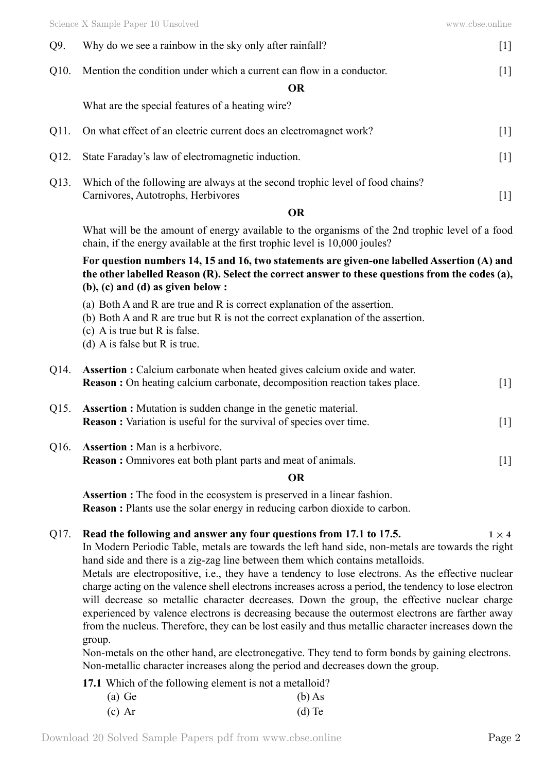| Q9.  | Why do we see a rainbow in the sky only after rainfall?                                                                                                                                                                                                                                                                                                                                                                                                                                                                                                                                                                                                                                                                                                                                     | $[1]$       |
|------|---------------------------------------------------------------------------------------------------------------------------------------------------------------------------------------------------------------------------------------------------------------------------------------------------------------------------------------------------------------------------------------------------------------------------------------------------------------------------------------------------------------------------------------------------------------------------------------------------------------------------------------------------------------------------------------------------------------------------------------------------------------------------------------------|-------------|
| Q10. | Mention the condition under which a current can flow in a conductor.                                                                                                                                                                                                                                                                                                                                                                                                                                                                                                                                                                                                                                                                                                                        | $[1]$       |
|      | <b>OR</b>                                                                                                                                                                                                                                                                                                                                                                                                                                                                                                                                                                                                                                                                                                                                                                                   |             |
|      | What are the special features of a heating wire?                                                                                                                                                                                                                                                                                                                                                                                                                                                                                                                                                                                                                                                                                                                                            |             |
| Q11. | On what effect of an electric current does an electromagnet work?                                                                                                                                                                                                                                                                                                                                                                                                                                                                                                                                                                                                                                                                                                                           | $[1]$       |
| Q12. | State Faraday's law of electromagnetic induction.                                                                                                                                                                                                                                                                                                                                                                                                                                                                                                                                                                                                                                                                                                                                           | $[1]$       |
| Q13. | Which of the following are always at the second trophic level of food chains?<br>Carnivores, Autotrophs, Herbivores                                                                                                                                                                                                                                                                                                                                                                                                                                                                                                                                                                                                                                                                         | $[1]$       |
|      | <b>OR</b>                                                                                                                                                                                                                                                                                                                                                                                                                                                                                                                                                                                                                                                                                                                                                                                   |             |
|      | What will be the amount of energy available to the organisms of the 2nd trophic level of a food<br>chain, if the energy available at the first trophic level is 10,000 joules?                                                                                                                                                                                                                                                                                                                                                                                                                                                                                                                                                                                                              |             |
|      | For question numbers 14, 15 and 16, two statements are given-one labelled Assertion (A) and<br>the other labelled Reason (R). Select the correct answer to these questions from the codes (a),<br>$(b)$ , $(c)$ and $(d)$ as given below :                                                                                                                                                                                                                                                                                                                                                                                                                                                                                                                                                  |             |
|      | (a) Both A and R are true and R is correct explanation of the assertion.<br>(b) Both A and R are true but R is not the correct explanation of the assertion.<br>(c) A is true but $R$ is false.<br>(d) A is false but R is true.                                                                                                                                                                                                                                                                                                                                                                                                                                                                                                                                                            |             |
| Q14. | <b>Assertion :</b> Calcium carbonate when heated gives calcium oxide and water.<br><b>Reason :</b> On heating calcium carbonate, decomposition reaction takes place.                                                                                                                                                                                                                                                                                                                                                                                                                                                                                                                                                                                                                        | $[1]$       |
| Q15. | <b>Assertion :</b> Mutation is sudden change in the genetic material.<br><b>Reason :</b> Variation is useful for the survival of species over time.                                                                                                                                                                                                                                                                                                                                                                                                                                                                                                                                                                                                                                         | $[1]$       |
| Q16. | <b>Assertion :</b> Man is a herbivore.                                                                                                                                                                                                                                                                                                                                                                                                                                                                                                                                                                                                                                                                                                                                                      |             |
|      | <b>Reason</b> : Omnivores eat both plant parts and meat of animals.                                                                                                                                                                                                                                                                                                                                                                                                                                                                                                                                                                                                                                                                                                                         | $[1]$       |
|      | <b>OR</b>                                                                                                                                                                                                                                                                                                                                                                                                                                                                                                                                                                                                                                                                                                                                                                                   |             |
|      | <b>Assertion :</b> The food in the ecosystem is preserved in a linear fashion.<br><b>Reason</b> : Plants use the solar energy in reducing carbon dioxide to carbon.                                                                                                                                                                                                                                                                                                                                                                                                                                                                                                                                                                                                                         |             |
| Q17. | Read the following and answer any four questions from 17.1 to 17.5.<br>In Modern Periodic Table, metals are towards the left hand side, non-metals are towards the right<br>hand side and there is a zig-zag line between them which contains metalloids.<br>Metals are electropositive, i.e., they have a tendency to lose electrons. As the effective nuclear<br>charge acting on the valence shell electrons increases across a period, the tendency to lose electron<br>will decrease so metallic character decreases. Down the group, the effective nuclear charge<br>experienced by valence electrons is decreasing because the outermost electrons are farther away<br>from the nucleus. Therefore, they can be lost easily and thus metallic character increases down the<br>group. | $1\times 4$ |
|      | Non-metals on the other hand, are electronegative. They tend to form bonds by gaining electrons.<br>Non-metallic character increases along the period and decreases down the group.                                                                                                                                                                                                                                                                                                                                                                                                                                                                                                                                                                                                         |             |

**17.1** Which of the following element is not a metalloid?

| $(a)$ Ge | $(b)$ As |
|----------|----------|
| $(c)$ Ar | $(d)$ Te |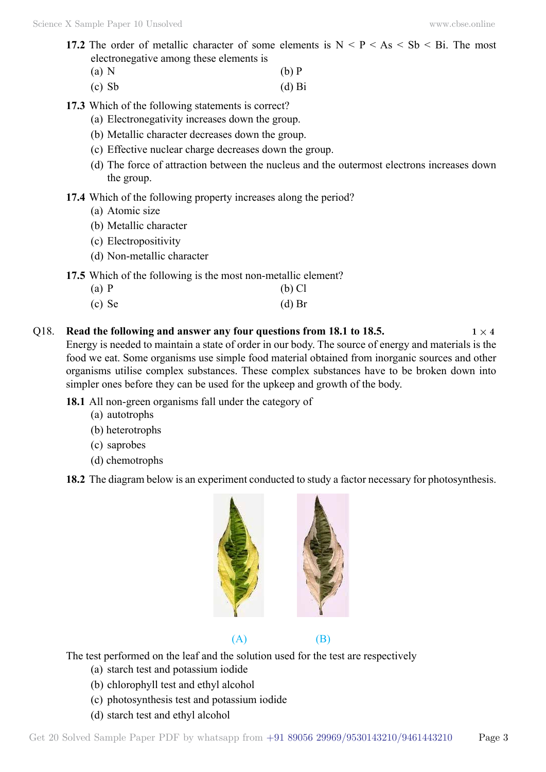- **17.2** The order of metallic character of some elements is  $N < P < As < Sb$   $\leq$  Bi. The most electronegative among these elements is
	- (a) N (b) P
	- $\Delta$  (d) Bi
- **17.3** Which of the following statements is correct?
	- (a) Electronegativity increases down the group.
	- (b) Metallic character decreases down the group.
	- (c) Effective nuclear charge decreases down the group.
	- (d) The force of attraction between the nucleus and the outermost electrons increases down the group.
- **17.4** Which of the following property increases along the period?
	- (a) Atomic size
	- (b) Metallic character
	- (c) Electropositivity
	- (d) Non-metallic character
- **17.5** Which of the following is the most non-metallic element?
	- (a) P (b) Cl
	- $\alpha$  (c) Se (d) Br
- Q18. **Read the following and answer any four questions from 18.1 to 18.5.**  $1 \times 4$ Energy is needed to maintain a state of order in our body. The source of energy and materials is the food we eat. Some organisms use simple food material obtained from inorganic sources and other organisms utilise complex substances. These complex substances have to be broken down into simpler ones before they can be used for the upkeep and growth of the body.
	- **18.1** All non-green organisms fall under the category of
		- (a) autotrophs
		- (b) heterotrophs
		- (c) saprobes
		- (d) chemotrophs
	- **18.2** The diagram below is an experiment conducted to study a factor necessary for photosynthesis.





The test performed on the leaf and the solution used for the test are respectively

- (a) starch test and potassium iodide
- (b) chlorophyll test and ethyl alcohol
- (c) photosynthesis test and potassium iodide
- (d) starch test and ethyl alcohol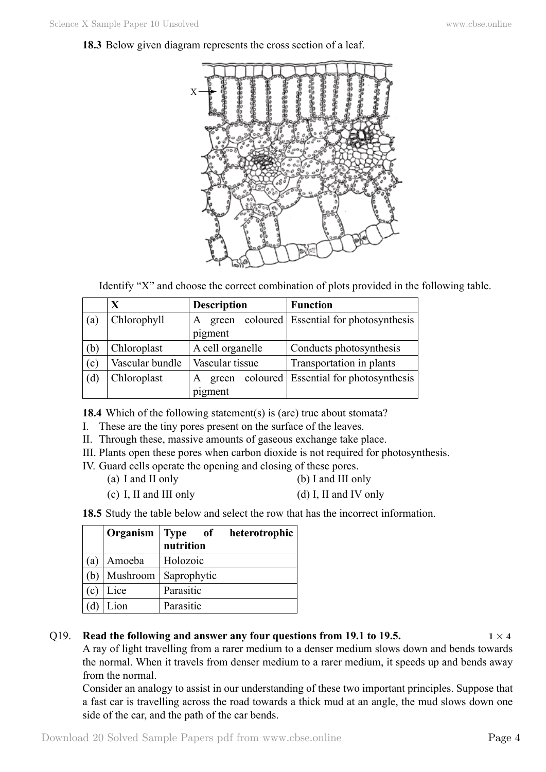### **18.3** Below given diagram represents the cross section of a leaf.



Identify "X" and choose the correct combination of plots provided in the following table.

|     | X               | <b>Description</b> | <b>Function</b>                       |
|-----|-----------------|--------------------|---------------------------------------|
| (a) | Chlorophyll     | A<br>green         | coloured Essential for photosynthesis |
|     |                 | pigment            |                                       |
| (b) | Chloroplast     | A cell organelle   | Conducts photosynthesis               |
| (c) | Vascular bundle | Vascular tissue    | Transportation in plants              |
| (d) | Chloroplast     | A<br>green         | coloured Essential for photosynthesis |
|     |                 | pigment            |                                       |

**18.4** Which of the following statement(s) is (are) true about stomata?

- I. These are the tiny pores present on the surface of the leaves.
- II. Through these, massive amounts of gaseous exchange take place.
- III. Plants open these pores when carbon dioxide is not required for photosynthesis.
- IV. Guard cells operate the opening and closing of these pores.
	- (a) I and II only (b) I and III only
	- (c) I, II and III only  $(d)$  I, II and IV only

**18.5** Study the table below and select the row that has the incorrect information.

|                |          | Organism Type of<br>nutrition | heterotrophic |
|----------------|----------|-------------------------------|---------------|
| a)             | Amoeba   | Holozoic                      |               |
|                | Mushroom | Saprophytic                   |               |
| $\mathbf{c}$ ) | Lice     | Parasitic                     |               |
|                | Lion     | Parasitic                     |               |

### Q19. **Read the following and answer any four questions from 19.1 to 19.5.**  $1 \times 4$

A ray of light travelling from a rarer medium to a denser medium slows down and bends towards the normal. When it travels from denser medium to a rarer medium, it speeds up and bends away from the normal.

Consider an analogy to assist in our understanding of these two important principles. Suppose that a fast car is travelling across the road towards a thick mud at an angle, the mud slows down one side of the car, and the path of the car bends.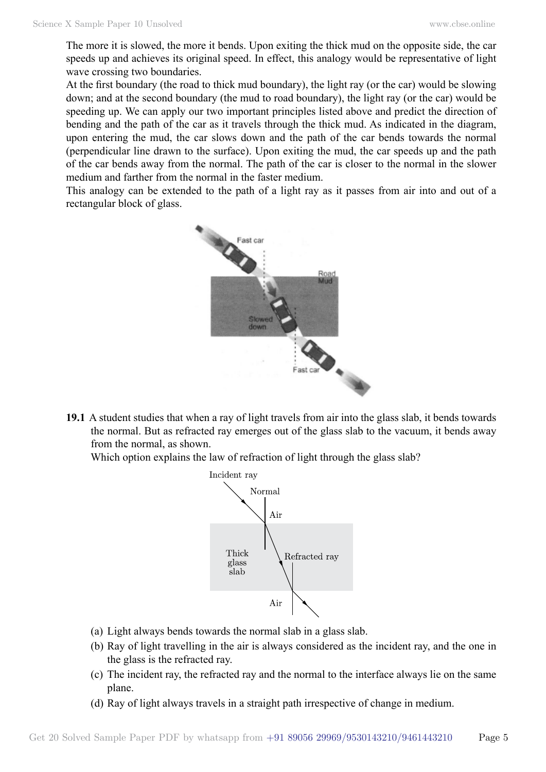The more it is slowed, the more it bends. Upon exiting the thick mud on the opposite side, the car speeds up and achieves its original speed. In effect, this analogy would be representative of light wave crossing two boundaries.

At the first boundary (the road to thick mud boundary), the light ray (or the car) would be slowing down; and at the second boundary (the mud to road boundary), the light ray (or the car) would be speeding up. We can apply our two important principles listed above and predict the direction of bending and the path of the car as it travels through the thick mud. As indicated in the diagram, upon entering the mud, the car slows down and the path of the car bends towards the normal (perpendicular line drawn to the surface). Upon exiting the mud, the car speeds up and the path of the car bends away from the normal. The path of the car is closer to the normal in the slower medium and farther from the normal in the faster medium.

This analogy can be extended to the path of a light ray as it passes from air into and out of a rectangular block of glass.



**19.1** A student studies that when a ray of light travels from air into the glass slab, it bends towards the normal. But as refracted ray emerges out of the glass slab to the vacuum, it bends away from the normal, as shown.

Which option explains the law of refraction of light through the glass slab?



- (a) Light always bends towards the normal slab in a glass slab.
- (b) Ray of light travelling in the air is always considered as the incident ray, and the one in the glass is the refracted ray.
- (c) The incident ray, the refracted ray and the normal to the interface always lie on the same plane.
- (d) Ray of light always travels in a straight path irrespective of change in medium.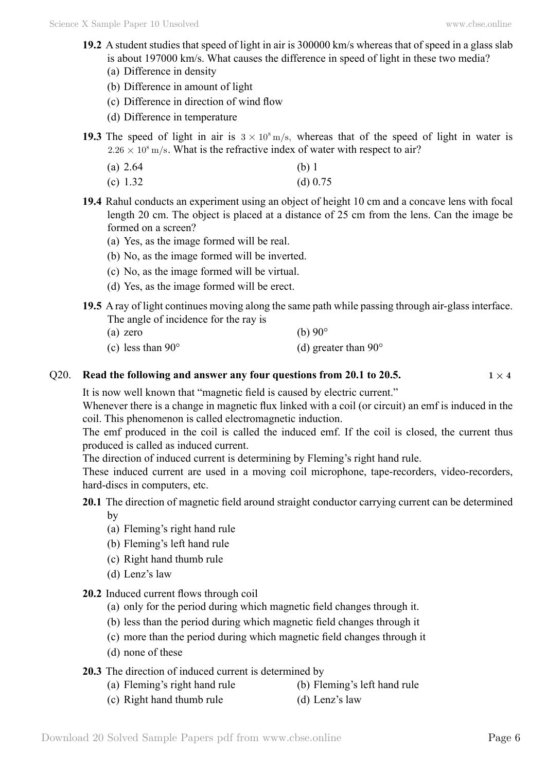- **19.2** A student studies that speed of light in air is 300000 km/s whereas that of speed in a glass slab is about 197000 km/s. What causes the difference in speed of light in these two media? (a) Difference in density
	- (b) Difference in amount of light
	- (c) Difference in direction of wind flow
	- (d) Difference in temperature
- **19.3** The speed of light in air is  $3 \times 10^8$  m/s, whereas that of the speed of light in water is  $2.26 \times 10^8$  m/s. What is the refractive index of water with respect to air?
	- (a) 2.64 (b) 1
	- (c)  $1.32$  (d)  $0.75$
- **19.4** Rahul conducts an experiment using an object of height 10 cm and a concave lens with focal length 20 cm. The object is placed at a distance of 25 cm from the lens. Can the image be formed on a screen?
	- (a) Yes, as the image formed will be real.
	- (b) No, as the image formed will be inverted.
	- (c) No, as the image formed will be virtual.
	- (d) Yes, as the image formed will be erect.
- **19.5** A ray of light continues moving along the same path while passing through air-glass interface. The angle of incidence for the ray is
	- (a) zero  $(b) 90^\circ$
	- (c) less than  $90^{\circ}$  (d) greater than  $90^{\circ}$

#### Q20. **Read the following and answer any four questions from 20.1 to 20.5.**  $1 \times 4$

It is now well known that "magnetic field is caused by electric current."

Whenever there is a change in magnetic flux linked with a coil (or circuit) an emf is induced in the coil. This phenomenon is called electromagnetic induction.

The emf produced in the coil is called the induced emf. If the coil is closed, the current thus produced is called as induced current.

The direction of induced current is determining by Fleming's right hand rule.

These induced current are used in a moving coil microphone, tape-recorders, video-recorders, hard-discs in computers, etc.

**20.1** The direction of magnetic field around straight conductor carrying current can be determined

by

- (a) Fleming's right hand rule
- (b) Fleming's left hand rule
- (c) Right hand thumb rule
- (d) Lenz's law
- **20.2** Induced current flows through coil
	- (a) only for the period during which magnetic field changes through it.
	- (b) less than the period during which magnetic field changes through it
	- (c) more than the period during which magnetic field changes through it
	- (d) none of these

### **20.3** The direction of induced current is determined by

- (a) Fleming's right hand rule (b) Fleming's left hand rule
- (c) Right hand thumb rule (d) Lenz's law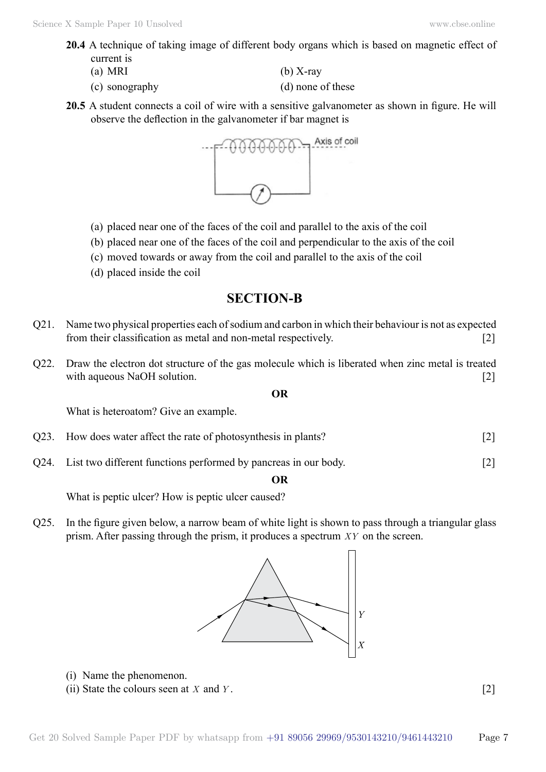- **20.4** A technique of taking image of different body organs which is based on magnetic effect of current is
	-
	- (c) sonography (d) none of these
	- (a) MRI  $(b)$  X-ray
		-
- **20.5** A student connects a coil of wire with a sensitive galvanometer as shown in figure. He will observe the deflection in the galvanometer if bar magnet is



- (a) placed near one of the faces of the coil and parallel to the axis of the coil
- (b) placed near one of the faces of the coil and perpendicular to the axis of the coil
- (c) moved towards or away from the coil and parallel to the axis of the coil
- (d) placed inside the coil

## **SECTION-B**

- Q21. Name two physical properties each of sodium and carbon in which their behaviour is not as expected from their classification as metal and non-metal respectively. [2]
- Q22. Draw the electron dot structure of the gas molecule which is liberated when zinc metal is treated with aqueous NaOH solution. [2]

 **O**

What is heteroatom? Give an example.

- Q23. How does water affect the rate of photosynthesis in plants? [2]
- Q24. List two different functions performed by pancreas in our body. [2]

 **O**

What is peptic ulcer? How is peptic ulcer caused?

Q25. In the figure given below, a narrow beam of white light is shown to pass through a triangular glass prism. After passing through the prism, it produces a spectrum *XY* on the screen.



- (i) Name the phenomenon.
- (ii) State the colours seen at *X* and *Y* . [2]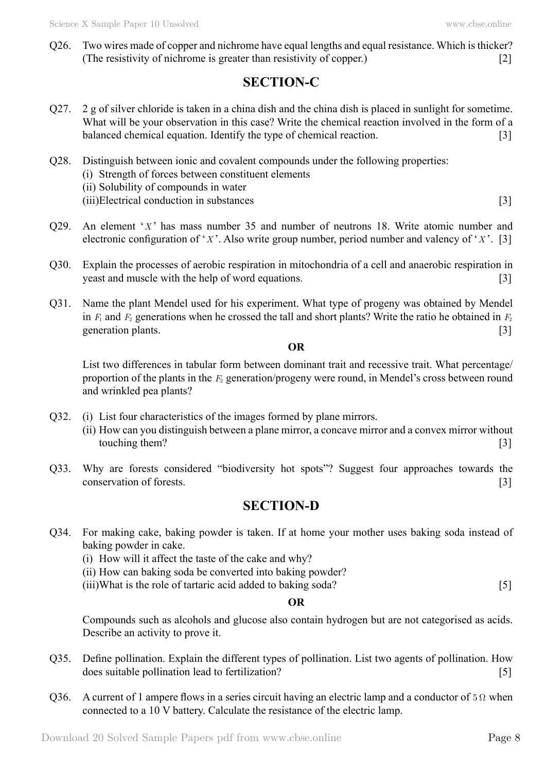Q26. Two wires made of copper and nichrome have equal lengths and equal resistance. Which is thicker? (The resistivity of nichrome is greater than resistivity of copper.) [2]

# **SECTION-C**

- Q27. 2 g of silver chloride is taken in a china dish and the china dish is placed in sunlight for sometime. What will be your observation in this case? Write the chemical reaction involved in the form of a balanced chemical equation. Identify the type of chemical reaction. [3]
- Q28. Distinguish between ionic and covalent compounds under the following properties: (i) Strength of forces between constituent elements (ii) Solubility of compounds in water (iii)Electrical conduction in substances [3]
- Q29. An element '*X* ' has mass number 35 and number of neutrons 18. Write atomic number and electronic configuration of '*X* '. Also write group number, period number and valency of '*X* '. [3]
- Q30. Explain the processes of aerobic respiration in mitochondria of a cell and anaerobic respiration in yeast and muscle with the help of word equations. [3]
- Q31. Name the plant Mendel used for his experiment. What type of progeny was obtained by Mendel in  $F_1$  and  $F_2$  generations when he crossed the tall and short plants? Write the ratio he obtained in  $F_2$ generation plants. [3]

#### **O**

List two differences in tabular form between dominant trait and recessive trait. What percentage/ proportion of the plants in the *F*2 generation/progeny were round, in Mendel's cross between round and wrinkled pea plants?

- Q32. (i) List four characteristics of the images formed by plane mirrors. (ii) How can you distinguish between a plane mirror, a concave mirror and a convex mirror without touching them? [3]
- Q33. Why are forests considered "biodiversity hot spots"? Suggest four approaches towards the conservation of forests. [3]

# **SECTION-D**

- Q34. For making cake, baking powder is taken. If at home your mother uses baking soda instead of baking powder in cake.
	- (i) How will it affect the taste of the cake and why?
	- (ii) How can baking soda be converted into baking powder?
	- (iii)What is the role of tartaric acid added to baking soda? [5]

#### **O**

Compounds such as alcohols and glucose also contain hydrogen but are not categorised as acids. Describe an activity to prove it.

- Q35. Define pollination. Explain the different types of pollination. List two agents of pollination. How does suitable pollination lead to fertilization? [5]
- Q36. A current of 1 ampere flows in a series circuit having an electric lamp and a conductor of  $5 \Omega$  when connected to a 10 V battery. Calculate the resistance of the electric lamp.